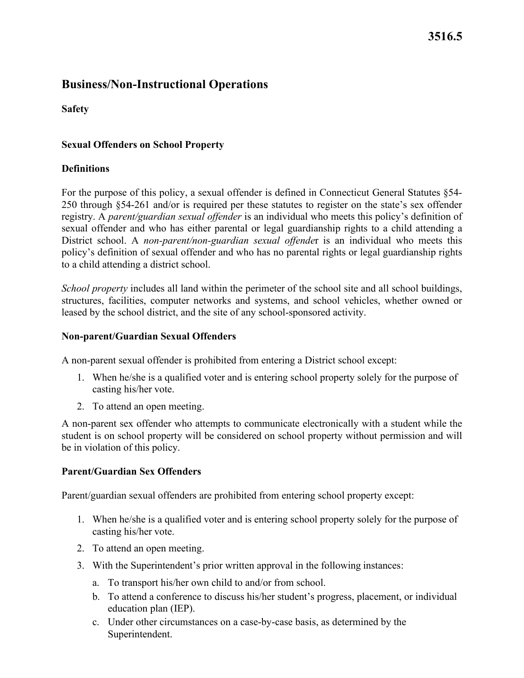# **3516.5**

## **Business/Non-Instructional Operations**

**Safety** 

#### **Sexual Offenders on School Property**

#### **Definitions**

 to a child attending a district school. For the purpose of this policy, a sexual offender is defined in Connecticut General Statutes §54- 250 through §54-261 and/or is required per these statutes to register on the state's sex offender registry. A *parent/guardian sexual offender* is an individual who meets this policy's definition of sexual offender and who has either parental or legal guardianship rights to a child attending a District school. A *non-parent/non-guardian sexual offende*r is an individual who meets this policy's definition of sexual offender and who has no parental rights or legal guardianship rights

*School property* includes all land within the perimeter of the school site and all school buildings, structures, facilities, computer networks and systems, and school vehicles, whether owned or leased by the school district, and the site of any school-sponsored activity.

#### **Non-parent/Guardian Sexual Offenders**

A non-parent sexual offender is prohibited from entering a District school except:

- casting his/her vote. 1. When he/she is a qualified voter and is entering school property solely for the purpose of
- 2. To attend an open meeting.

 A non-parent sex offender who attempts to communicate electronically with a student while the student is on school property will be considered on school property without permission and will be in violation of this policy.

#### **Parent/Guardian Sex Offenders**

Parent/guardian sexual offenders are prohibited from entering school property except:

- casting his/her vote. 1. When he/she is a qualified voter and is entering school property solely for the purpose of
- 2. To attend an open meeting.
- 3. With the Superintendent's prior written approval in the following instances:
	- a. To transport his/her own child to and/or from school.
	- education plan (IEP). b. To attend a conference to discuss his/her student's progress, placement, or individual
	- c. Under other circumstances on a case-by-case basis, as determined by the Superintendent.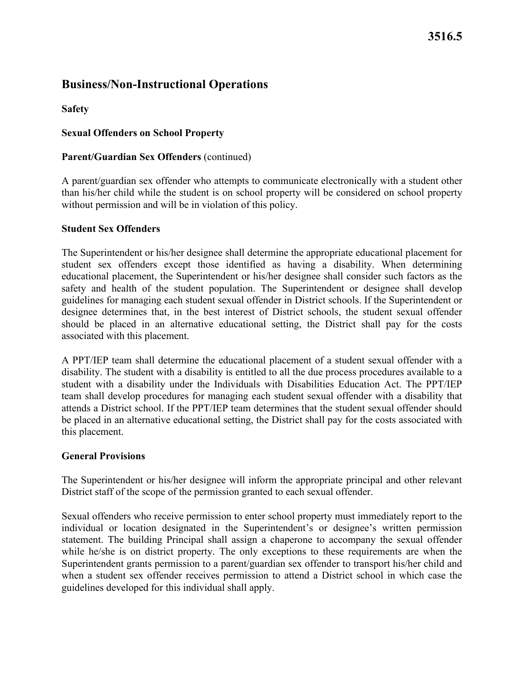# **Business/Non-Instructional Operations**

**Safety** 

### **Sexual Offenders on School Property**

#### **Parent/Guardian Sex Offenders** (continued)

A parent/guardian sex offender who attempts to communicate electronically with a student other than his/her child while the student is on school property will be considered on school property without permission and will be in violation of this policy.

### **Student Sex Offenders**

 associated with this placement. The Superintendent or his/her designee shall determine the appropriate educational placement for student sex offenders except those identified as having a disability. When determining educational placement, the Superintendent or his/her designee shall consider such factors as the safety and health of the student population. The Superintendent or designee shall develop guidelines for managing each student sexual offender in District schools. If the Superintendent or designee determines that, in the best interest of District schools, the student sexual offender should be placed in an alternative educational setting, the District shall pay for the costs

 student with a disability under the Individuals with Disabilities Education Act. The PPT/IEP this placement. A PPT/IEP team shall determine the educational placement of a student sexual offender with a disability. The student with a disability is entitled to all the due process procedures available to a team shall develop procedures for managing each student sexual offender with a disability that attends a District school. If the PPT/IEP team determines that the student sexual offender should be placed in an alternative educational setting, the District shall pay for the costs associated with

#### **General Provisions**

 The Superintendent or his/her designee will inform the appropriate principal and other relevant District staff of the scope of the permission granted to each sexual offender.

 Superintendent grants permission to a parent/guardian sex offender to transport his/her child and Sexual offenders who receive permission to enter school property must immediately report to the individual or location designated in the Superintendent's or designee's written permission statement. The building Principal shall assign a chaperone to accompany the sexual offender while he/she is on district property. The only exceptions to these requirements are when the when a student sex offender receives permission to attend a District school in which case the guidelines developed for this individual shall apply.